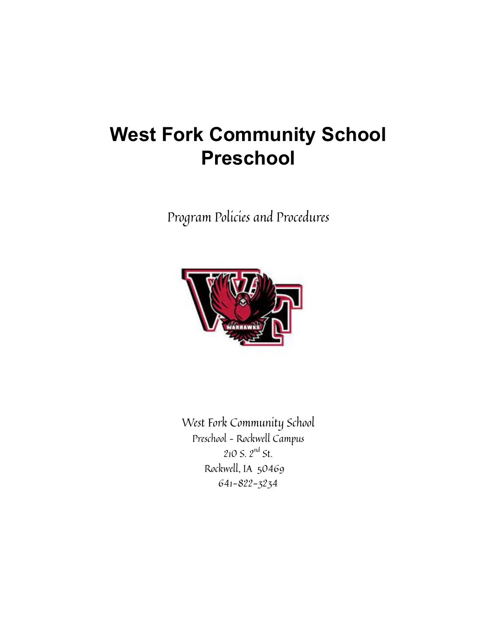# **West Fork Community School Preschool**

Program Policies and Procedures



West Fork Community School Preschool – Rockwell Campus  $210$  S.  $2^{nd}$  St. Rockwell, IA 50469 641-822-3234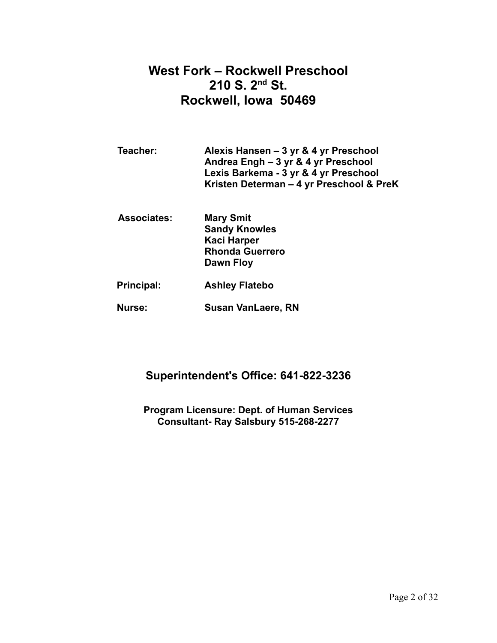# **West Fork – Rockwell Preschool 210 S. 2 nd St. Rockwell, Iowa 50469**

| Teacher:           | Alexis Hansen - 3 yr & 4 yr Preschool<br>Andrea Engh - 3 yr & 4 yr Preschool<br>Lexis Barkema - 3 yr & 4 yr Preschool<br>Kristen Determan – 4 yr Preschool & PreK |
|--------------------|-------------------------------------------------------------------------------------------------------------------------------------------------------------------|
| <b>Associates:</b> | <b>Mary Smit</b><br><b>Sandy Knowles</b><br>10aa : 11aan am                                                                                                       |

**Kaci Harper Rhonda Guerrero Dawn Floy**

- **Principal: Ashley Flatebo**
- **Nurse: Susan VanLaere, RN**

# **Superintendent's Office: 641-822-3236**

**Program Licensure: Dept. of Human Services Consultant- Ray Salsbury 515-268-2277**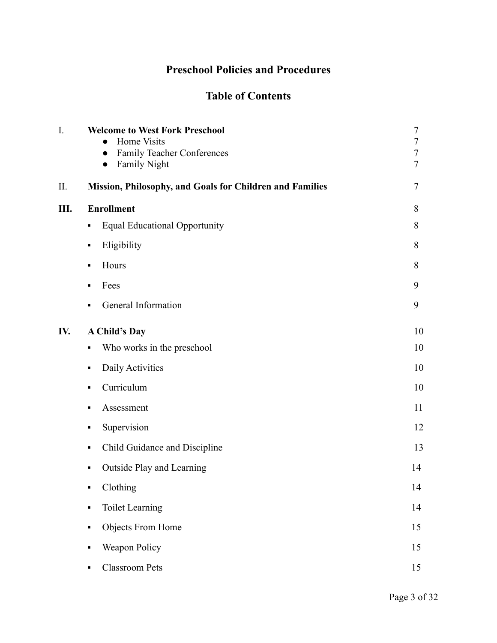# **Preschool Policies and Procedures**

# **Table of Contents**

| I.  | <b>Welcome to West Fork Preschool</b><br>Home Visits<br><b>Family Teacher Conferences</b><br>$\bullet$<br><b>Family Night</b> | $\overline{7}$<br>$\boldsymbol{7}$<br>$\overline{7}$<br>$\overline{7}$ |
|-----|-------------------------------------------------------------------------------------------------------------------------------|------------------------------------------------------------------------|
| II. | Mission, Philosophy, and Goals for Children and Families                                                                      | 7                                                                      |
| Ш.  | <b>Enrollment</b>                                                                                                             | 8                                                                      |
|     | <b>Equal Educational Opportunity</b><br>П                                                                                     | 8                                                                      |
|     | Eligibility<br>٠                                                                                                              | 8                                                                      |
|     | Hours<br>٠                                                                                                                    | 8                                                                      |
|     | Fees<br>٠                                                                                                                     | 9                                                                      |
|     | General Information<br>П                                                                                                      | 9                                                                      |
| IV. | <b>A Child's Day</b>                                                                                                          | 10                                                                     |
|     | Who works in the preschool<br>٠                                                                                               | 10                                                                     |
|     | Daily Activities<br>П                                                                                                         | 10                                                                     |
|     | Curriculum<br>٠                                                                                                               | 10                                                                     |
|     | Assessment<br>٠                                                                                                               | 11                                                                     |
|     | Supervision<br>٠                                                                                                              | 12                                                                     |
|     | Child Guidance and Discipline<br>П                                                                                            | 13                                                                     |
|     | Outside Play and Learning<br>П                                                                                                | 14                                                                     |
|     | Clothing                                                                                                                      | 14                                                                     |
|     | <b>Toilet Learning</b><br>٠                                                                                                   | 14                                                                     |
|     | Objects From Home<br>٠                                                                                                        | 15                                                                     |
|     | Weapon Policy<br>٠                                                                                                            | 15                                                                     |
|     | <b>Classroom Pets</b><br>$\blacksquare$                                                                                       | 15                                                                     |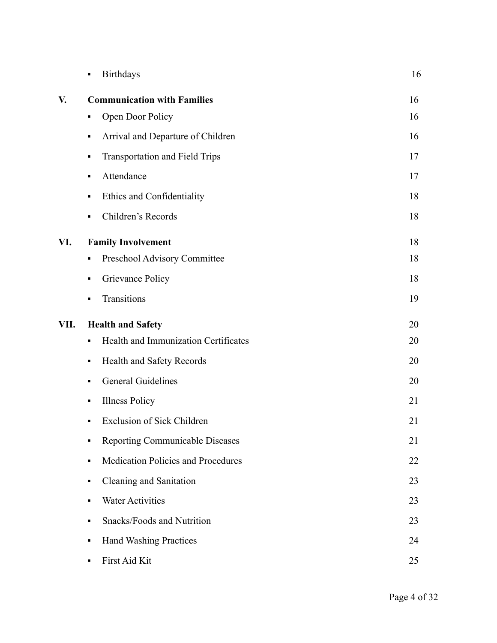|      | <b>Birthdays</b><br>٠                          | 16 |
|------|------------------------------------------------|----|
| V.   | <b>Communication with Families</b>             | 16 |
|      | Open Door Policy<br>п                          | 16 |
|      | Arrival and Departure of Children<br>٠         | 16 |
|      | <b>Transportation and Field Trips</b><br>٠     | 17 |
|      | Attendance<br>٠                                | 17 |
|      | Ethics and Confidentiality<br>٠                | 18 |
|      | Children's Records<br>٠                        | 18 |
| VI.  | <b>Family Involvement</b>                      | 18 |
|      | Preschool Advisory Committee<br>٠              | 18 |
|      | Grievance Policy<br>П                          | 18 |
|      | Transitions<br>٠                               | 19 |
| VII. | <b>Health and Safety</b>                       | 20 |
|      | Health and Immunization Certificates<br>٠      | 20 |
|      | Health and Safety Records<br>п                 | 20 |
|      | General Guidelines<br>٠                        | 20 |
|      | <b>Illness Policy</b><br>٠                     | 21 |
|      | <b>Exclusion of Sick Children</b><br>п         | 21 |
|      | Reporting Communicable Diseases<br>٠           | 21 |
|      | <b>Medication Policies and Procedures</b><br>П | 22 |
|      | Cleaning and Sanitation<br>٠                   | 23 |
|      | <b>Water Activities</b><br>٠                   | 23 |
|      | <b>Snacks/Foods and Nutrition</b><br>٠         | 23 |
|      | <b>Hand Washing Practices</b><br>٠             | 24 |
|      | First Aid Kit<br>٠                             | 25 |
|      |                                                |    |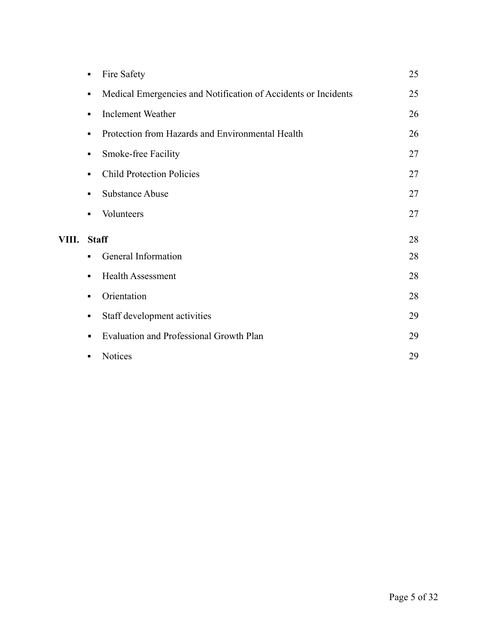|       | Fire Safety<br>$\blacksquare$                                                    | 25 |
|-------|----------------------------------------------------------------------------------|----|
|       | Medical Emergencies and Notification of Accidents or Incidents<br>$\blacksquare$ | 25 |
|       | <b>Inclement Weather</b><br>٠                                                    | 26 |
|       | Protection from Hazards and Environmental Health<br>$\blacksquare$               | 26 |
|       | Smoke-free Facility<br>٠                                                         | 27 |
|       | <b>Child Protection Policies</b><br>٠                                            | 27 |
|       | <b>Substance Abuse</b><br>٠                                                      | 27 |
|       | Volunteers<br>$\blacksquare$                                                     | 27 |
| VIII. | <b>Staff</b>                                                                     | 28 |
|       | General Information<br>٠                                                         | 28 |
|       | <b>Health Assessment</b><br>$\blacksquare$                                       | 28 |
|       | Orientation<br>٠                                                                 | 28 |
|       | Staff development activities<br>٠                                                | 29 |
|       | Evaluation and Professional Growth Plan<br>$\blacksquare$                        | 29 |
|       | <b>Notices</b><br>٠                                                              | 29 |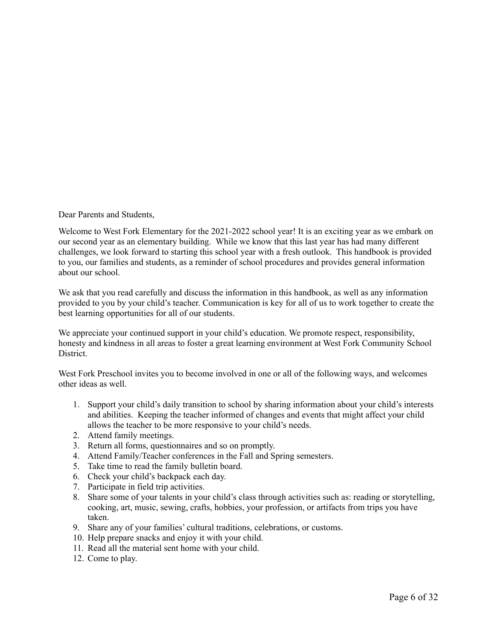Dear Parents and Students,

Welcome to West Fork Elementary for the 2021-2022 school year! It is an exciting year as we embark on our second year as an elementary building. While we know that this last year has had many different challenges, we look forward to starting this school year with a fresh outlook. This handbook is provided to you, our families and students, as a reminder of school procedures and provides general information about our school.

We ask that you read carefully and discuss the information in this handbook, as well as any information provided to you by your child's teacher. Communication is key for all of us to work together to create the best learning opportunities for all of our students.

We appreciate your continued support in your child's education. We promote respect, responsibility, honesty and kindness in all areas to foster a great learning environment at West Fork Community School District.

West Fork Preschool invites you to become involved in one or all of the following ways, and welcomes other ideas as well.

- 1. Support your child's daily transition to school by sharing information about your child's interests and abilities. Keeping the teacher informed of changes and events that might affect your child allows the teacher to be more responsive to your child's needs.
- 2. Attend family meetings.
- 3. Return all forms, questionnaires and so on promptly.
- 4. Attend Family/Teacher conferences in the Fall and Spring semesters.
- 5. Take time to read the family bulletin board.
- 6. Check your child's backpack each day.
- 7. Participate in field trip activities.
- 8. Share some of your talents in your child's class through activities such as: reading or storytelling, cooking, art, music, sewing, crafts, hobbies, your profession, or artifacts from trips you have taken.
- 9. Share any of your families' cultural traditions, celebrations, or customs.
- 10. Help prepare snacks and enjoy it with your child.
- 11. Read all the material sent home with your child.
- 12. Come to play.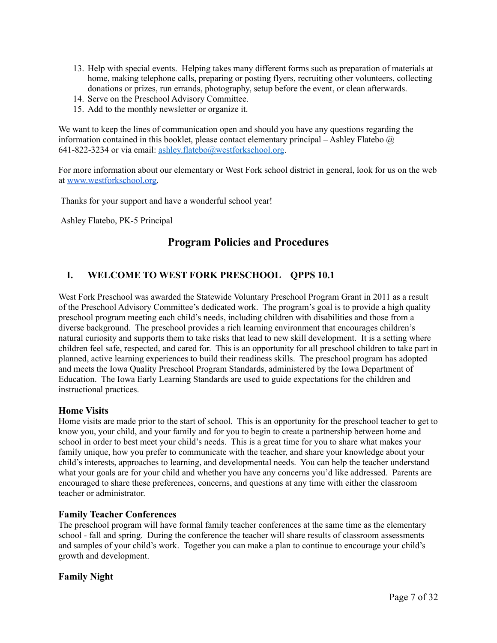- 13. Help with special events. Helping takes many different forms such as preparation of materials at home, making telephone calls, preparing or posting flyers, recruiting other volunteers, collecting donations or prizes, run errands, photography, setup before the event, or clean afterwards.
- 14. Serve on the Preschool Advisory Committee.
- 15. Add to the monthly newsletter or organize it.

We want to keep the lines of communication open and should you have any questions regarding the information contained in this booklet, please contact elementary principal – Ashley Flatebo  $\omega$ 641-822-3234 or via email: ashley.flatebo@westforkschool.org.

For more information about our elementary or West Fork school district in general, look for us on the web at [www.westforkschool.org.](http://www.westforkschool.org/)

Thanks for your support and have a wonderful school year!

Ashley Flatebo, PK-5 Principal

# **Program Policies and Procedures**

# **I. WELCOME TO WEST FORK PRESCHOOL QPPS 10.1**

West Fork Preschool was awarded the Statewide Voluntary Preschool Program Grant in 2011 as a result of the Preschool Advisory Committee's dedicated work. The program's goal is to provide a high quality preschool program meeting each child's needs, including children with disabilities and those from a diverse background. The preschool provides a rich learning environment that encourages children's natural curiosity and supports them to take risks that lead to new skill development. It is a setting where children feel safe, respected, and cared for. This is an opportunity for all preschool children to take part in planned, active learning experiences to build their readiness skills. The preschool program has adopted and meets the Iowa Quality Preschool Program Standards, administered by the Iowa Department of Education. The Iowa Early Learning Standards are used to guide expectations for the children and instructional practices.

#### **Home Visits**

Home visits are made prior to the start of school. This is an opportunity for the preschool teacher to get to know you, your child, and your family and for you to begin to create a partnership between home and school in order to best meet your child's needs. This is a great time for you to share what makes your family unique, how you prefer to communicate with the teacher, and share your knowledge about your child's interests, approaches to learning, and developmental needs. You can help the teacher understand what your goals are for your child and whether you have any concerns you'd like addressed. Parents are encouraged to share these preferences, concerns, and questions at any time with either the classroom teacher or administrator.

#### **Family Teacher Conferences**

The preschool program will have formal family teacher conferences at the same time as the elementary school - fall and spring. During the conference the teacher will share results of classroom assessments and samples of your child's work. Together you can make a plan to continue to encourage your child's growth and development.

# **Family Night**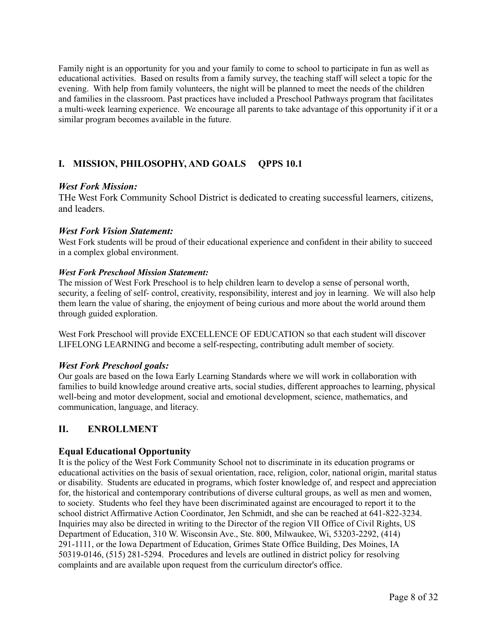Family night is an opportunity for you and your family to come to school to participate in fun as well as educational activities. Based on results from a family survey, the teaching staff will select a topic for the evening. With help from family volunteers, the night will be planned to meet the needs of the children and families in the classroom. Past practices have included a Preschool Pathways program that facilitates a multi-week learning experience. We encourage all parents to take advantage of this opportunity if it or a similar program becomes available in the future.

# **I. MISSION, PHILOSOPHY, AND GOALS QPPS 10.1**

#### *West Fork Mission:*

THe West Fork Community School District is dedicated to creating successful learners, citizens, and leaders.

#### *West Fork Vision Statement:*

West Fork students will be proud of their educational experience and confident in their ability to succeed in a complex global environment.

#### *West Fork Preschool Mission Statement:*

The mission of West Fork Preschool is to help children learn to develop a sense of personal worth, security, a feeling of self- control, creativity, responsibility, interest and joy in learning. We will also help them learn the value of sharing, the enjoyment of being curious and more about the world around them through guided exploration.

West Fork Preschool will provide EXCELLENCE OF EDUCATION so that each student will discover LIFELONG LEARNING and become a self-respecting, contributing adult member of society.

# *West Fork Preschool goals:*

Our goals are based on the Iowa Early Learning Standards where we will work in collaboration with families to build knowledge around creative arts, social studies, different approaches to learning, physical well-being and motor development, social and emotional development, science, mathematics, and communication, language, and literacy.

# **II. ENROLLMENT**

# **Equal Educational Opportunity**

It is the policy of the West Fork Community School not to discriminate in its education programs or educational activities on the basis of sexual orientation, race, religion, color, national origin, marital status or disability. Students are educated in programs, which foster knowledge of, and respect and appreciation for, the historical and contemporary contributions of diverse cultural groups, as well as men and women, to society. Students who feel they have been discriminated against are encouraged to report it to the school district Affirmative Action Coordinator, Jen Schmidt, and she can be reached at 641-822-3234. Inquiries may also be directed in writing to the Director of the region VII Office of Civil Rights, US Department of Education, 310 W. Wisconsin Ave., Ste. 800, Milwaukee, Wi, 53203-2292, (414) 291-1111, or the Iowa Department of Education, Grimes State Office Building, Des Moines, IA 50319-0146, (515) 281-5294. Procedures and levels are outlined in district policy for resolving complaints and are available upon request from the curriculum director's office.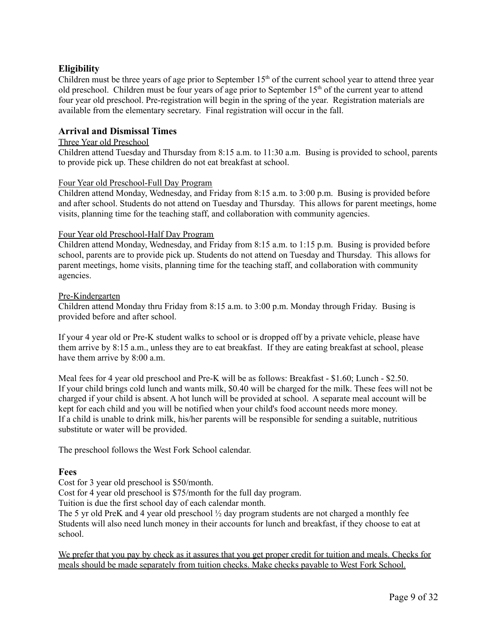# **Eligibility**

Children must be three years of age prior to September  $15<sup>th</sup>$  of the current school year to attend three year old preschool. Children must be four years of age prior to September 15<sup>th</sup> of the current year to attend four year old preschool. Pre-registration will begin in the spring of the year. Registration materials are available from the elementary secretary. Final registration will occur in the fall.

## **Arrival and Dismissal Times**

#### Three Year old Preschool

Children attend Tuesday and Thursday from 8:15 a.m. to 11:30 a.m. Busing is provided to school, parents to provide pick up. These children do not eat breakfast at school.

#### Four Year old Preschool-Full Day Program

Children attend Monday, Wednesday, and Friday from 8:15 a.m. to 3:00 p.m. Busing is provided before and after school. Students do not attend on Tuesday and Thursday. This allows for parent meetings, home visits, planning time for the teaching staff, and collaboration with community agencies.

#### Four Year old Preschool-Half Day Program

Children attend Monday, Wednesday, and Friday from 8:15 a.m. to 1:15 p.m. Busing is provided before school, parents are to provide pick up. Students do not attend on Tuesday and Thursday. This allows for parent meetings, home visits, planning time for the teaching staff, and collaboration with community agencies.

#### Pre-Kindergarten

Children attend Monday thru Friday from 8:15 a.m. to 3:00 p.m. Monday through Friday. Busing is provided before and after school.

If your 4 year old or Pre-K student walks to school or is dropped off by a private vehicle, please have them arrive by 8:15 a.m., unless they are to eat breakfast. If they are eating breakfast at school, please have them arrive by 8:00 a.m.

Meal fees for 4 year old preschool and Pre-K will be as follows: Breakfast - \$1.60; Lunch - \$2.50. If your child brings cold lunch and wants milk, \$0.40 will be charged for the milk. These fees will not be charged if your child is absent. A hot lunch will be provided at school. A separate meal account will be kept for each child and you will be notified when your child's food account needs more money. If a child is unable to drink milk, his/her parents will be responsible for sending a suitable, nutritious substitute or water will be provided.

The preschool follows the West Fork School calendar.

#### **Fees**

Cost for 3 year old preschool is \$50/month.

Cost for 4 year old preschool is \$75/month for the full day program.

Tuition is due the first school day of each calendar month.

The 5 yr old PreK and 4 year old preschool ½ day program students are not charged a monthly fee Students will also need lunch money in their accounts for lunch and breakfast, if they choose to eat at school.

We prefer that you pay by check as it assures that you get proper credit for tuition and meals. Checks for meals should be made separately from tuition checks. Make checks payable to West Fork School.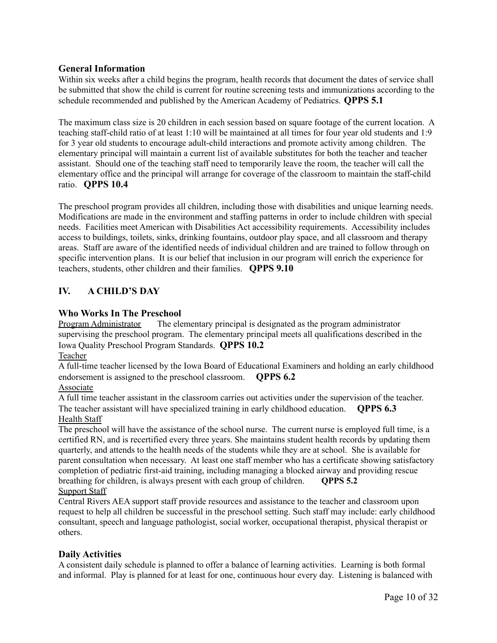# **General Information**

Within six weeks after a child begins the program, health records that document the dates of service shall be submitted that show the child is current for routine screening tests and immunizations according to the schedule recommended and published by the American Academy of Pediatrics. **QPPS 5.1**

The maximum class size is 20 children in each session based on square footage of the current location. A teaching staff-child ratio of at least 1:10 will be maintained at all times for four year old students and 1:9 for 3 year old students to encourage adult-child interactions and promote activity among children. The elementary principal will maintain a current list of available substitutes for both the teacher and teacher assistant. Should one of the teaching staff need to temporarily leave the room, the teacher will call the elementary office and the principal will arrange for coverage of the classroom to maintain the staff-child ratio. **QPPS 10.4**

The preschool program provides all children, including those with disabilities and unique learning needs. Modifications are made in the environment and staffing patterns in order to include children with special needs. Facilities meet American with Disabilities Act accessibility requirements. Accessibility includes access to buildings, toilets, sinks, drinking fountains, outdoor play space, and all classroom and therapy areas. Staff are aware of the identified needs of individual children and are trained to follow through on specific intervention plans. It is our belief that inclusion in our program will enrich the experience for teachers, students, other children and their families. **QPPS 9.10**

# **IV. A CHILD'S DAY**

# **Who Works In The Preschool**

Program Administrator The elementary principal is designated as the program administrator supervising the preschool program. The elementary principal meets all qualifications described in the Iowa Quality Preschool Program Standards. **QPPS 10.2**

Teacher

A full-time teacher licensed by the Iowa Board of Educational Examiners and holding an early childhood endorsement is assigned to the preschool classroom. **QPPS 6.2**

# Associate

A full time teacher assistant in the classroom carries out activities under the supervision of the teacher. The teacher assistant will have specialized training in early childhood education. **QPPS 6.3** Health Staff

The preschool will have the assistance of the school nurse. The current nurse is employed full time, is a certified RN, and is recertified every three years. She maintains student health records by updating them quarterly, and attends to the health needs of the students while they are at school. She is available for parent consultation when necessary. At least one staff member who has a certificate showing satisfactory completion of pediatric first-aid training, including managing a blocked airway and providing rescue breathing for children, is always present with each group of children. **QPPS 5.2** Support Staff

Central Rivers AEA support staff provide resources and assistance to the teacher and classroom upon request to help all children be successful in the preschool setting. Such staff may include: early childhood consultant, speech and language pathologist, social worker, occupational therapist, physical therapist or others.

# **Daily Activities**

A consistent daily schedule is planned to offer a balance of learning activities. Learning is both formal and informal. Play is planned for at least for one, continuous hour every day. Listening is balanced with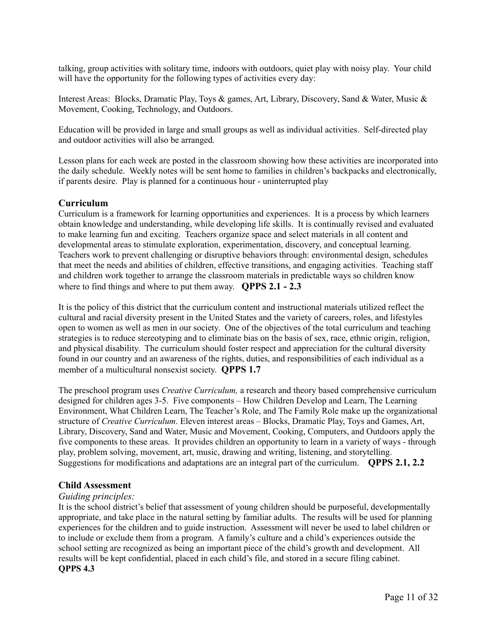talking, group activities with solitary time, indoors with outdoors, quiet play with noisy play. Your child will have the opportunity for the following types of activities every day:

Interest Areas: Blocks, Dramatic Play, Toys & games, Art, Library, Discovery, Sand & Water, Music & Movement, Cooking, Technology, and Outdoors.

Education will be provided in large and small groups as well as individual activities. Self-directed play and outdoor activities will also be arranged.

Lesson plans for each week are posted in the classroom showing how these activities are incorporated into the daily schedule. Weekly notes will be sent home to families in children's backpacks and electronically, if parents desire. Play is planned for a continuous hour - uninterrupted play

#### **Curriculum**

Curriculum is a framework for learning opportunities and experiences. It is a process by which learners obtain knowledge and understanding, while developing life skills. It is continually revised and evaluated to make learning fun and exciting. Teachers organize space and select materials in all content and developmental areas to stimulate exploration, experimentation, discovery, and conceptual learning. Teachers work to prevent challenging or disruptive behaviors through: environmental design, schedules that meet the needs and abilities of children, effective transitions, and engaging activities. Teaching staff and children work together to arrange the classroom materials in predictable ways so children know where to find things and where to put them away. **QPPS 2.1 - 2.3**

It is the policy of this district that the curriculum content and instructional materials utilized reflect the cultural and racial diversity present in the United States and the variety of careers, roles, and lifestyles open to women as well as men in our society. One of the objectives of the total curriculum and teaching strategies is to reduce stereotyping and to eliminate bias on the basis of sex, race, ethnic origin, religion, and physical disability. The curriculum should foster respect and appreciation for the cultural diversity found in our country and an awareness of the rights, duties, and responsibilities of each individual as a member of a multicultural nonsexist society. **QPPS 1.7**

The preschool program uses *Creative Curriculum,* a research and theory based comprehensive curriculum designed for children ages 3-5. Five components – How Children Develop and Learn, The Learning Environment, What Children Learn, The Teacher's Role, and The Family Role make up the organizational structure of *Creative Curriculum*. Eleven interest areas – Blocks, Dramatic Play, Toys and Games, Art, Library, Discovery, Sand and Water, Music and Movement, Cooking, Computers, and Outdoors apply the five components to these areas. It provides children an opportunity to learn in a variety of ways - through play, problem solving, movement, art, music, drawing and writing, listening, and storytelling. Suggestions for modifications and adaptations are an integral part of the curriculum. **QPPS 2.1, 2.2**

#### **Child Assessment**

#### *Guiding principles:*

It is the school district's belief that assessment of young children should be purposeful, developmentally appropriate, and take place in the natural setting by familiar adults. The results will be used for planning experiences for the children and to guide instruction. Assessment will never be used to label children or to include or exclude them from a program. A family's culture and a child's experiences outside the school setting are recognized as being an important piece of the child's growth and development. All results will be kept confidential, placed in each child's file, and stored in a secure filing cabinet. **QPPS 4.3**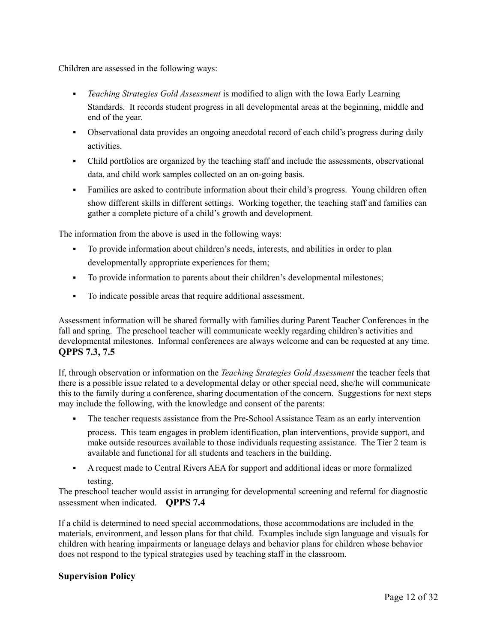Children are assessed in the following ways:

- *Teaching Strategies Gold Assessment* is modified to align with the Iowa Early Learning Standards. It records student progress in all developmental areas at the beginning, middle and end of the year.
- Observational data provides an ongoing anecdotal record of each child's progress during daily activities.
- Child portfolios are organized by the teaching staff and include the assessments, observational data, and child work samples collected on an on-going basis.
- Families are asked to contribute information about their child's progress. Young children often show different skills in different settings. Working together, the teaching staff and families can gather a complete picture of a child's growth and development.

The information from the above is used in the following ways:

- To provide information about children's needs, interests, and abilities in order to plan developmentally appropriate experiences for them;
- To provide information to parents about their children's developmental milestones;
- To indicate possible areas that require additional assessment.

Assessment information will be shared formally with families during Parent Teacher Conferences in the fall and spring. The preschool teacher will communicate weekly regarding children's activities and developmental milestones. Informal conferences are always welcome and can be requested at any time. **QPPS 7.3, 7.5**

If, through observation or information on the *Teaching Strategies Gold Assessment* the teacher feels that there is a possible issue related to a developmental delay or other special need, she/he will communicate this to the family during a conference, sharing documentation of the concern. Suggestions for next steps may include the following, with the knowledge and consent of the parents:

The teacher requests assistance from the Pre-School Assistance Team as an early intervention

process. This team engages in problem identification, plan interventions, provide support, and make outside resources available to those individuals requesting assistance. The Tier 2 team is available and functional for all students and teachers in the building.

▪ A request made to Central Rivers AEA for support and additional ideas or more formalized testing.

The preschool teacher would assist in arranging for developmental screening and referral for diagnostic assessment when indicated. **QPPS 7.4**

If a child is determined to need special accommodations, those accommodations are included in the materials, environment, and lesson plans for that child. Examples include sign language and visuals for children with hearing impairments or language delays and behavior plans for children whose behavior does not respond to the typical strategies used by teaching staff in the classroom.

# **Supervision Policy**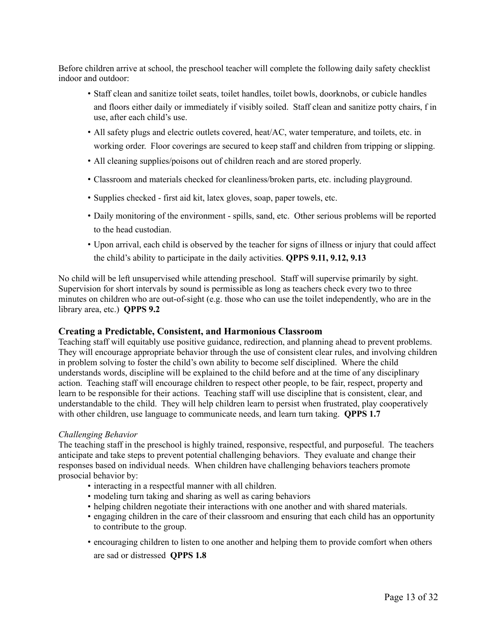Before children arrive at school, the preschool teacher will complete the following daily safety checklist indoor and outdoor:

- Staff clean and sanitize toilet seats, toilet handles, toilet bowls, doorknobs, or cubicle handles and floors either daily or immediately if visibly soiled. Staff clean and sanitize potty chairs, f in use, after each child's use.
- All safety plugs and electric outlets covered, heat/AC, water temperature, and toilets, etc. in working order. Floor coverings are secured to keep staff and children from tripping or slipping.
- All cleaning supplies/poisons out of children reach and are stored properly.
- Classroom and materials checked for cleanliness/broken parts, etc. including playground.
- Supplies checked first aid kit, latex gloves, soap, paper towels, etc.
- Daily monitoring of the environment spills, sand, etc. Other serious problems will be reported to the head custodian.
- Upon arrival, each child is observed by the teacher for signs of illness or injury that could affect the child's ability to participate in the daily activities. **QPPS 9.11, 9.12, 9.13**

No child will be left unsupervised while attending preschool. Staff will supervise primarily by sight. Supervision for short intervals by sound is permissible as long as teachers check every two to three minutes on children who are out-of-sight (e.g. those who can use the toilet independently, who are in the library area, etc.) **QPPS 9.2**

#### **Creating a Predictable, Consistent, and Harmonious Classroom**

Teaching staff will equitably use positive guidance, redirection, and planning ahead to prevent problems. They will encourage appropriate behavior through the use of consistent clear rules, and involving children in problem solving to foster the child's own ability to become self disciplined. Where the child understands words, discipline will be explained to the child before and at the time of any disciplinary action. Teaching staff will encourage children to respect other people, to be fair, respect, property and learn to be responsible for their actions. Teaching staff will use discipline that is consistent, clear, and understandable to the child. They will help children learn to persist when frustrated, play cooperatively with other children, use language to communicate needs, and learn turn taking. **QPPS 1.7**

#### *Challenging Behavior*

The teaching staff in the preschool is highly trained, responsive, respectful, and purposeful. The teachers anticipate and take steps to prevent potential challenging behaviors. They evaluate and change their responses based on individual needs. When children have challenging behaviors teachers promote prosocial behavior by:

- interacting in a respectful manner with all children.
- modeling turn taking and sharing as well as caring behaviors
- helping children negotiate their interactions with one another and with shared materials.
- engaging children in the care of their classroom and ensuring that each child has an opportunity to contribute to the group.
- encouraging children to listen to one another and helping them to provide comfort when others are sad or distressed **QPPS 1.8**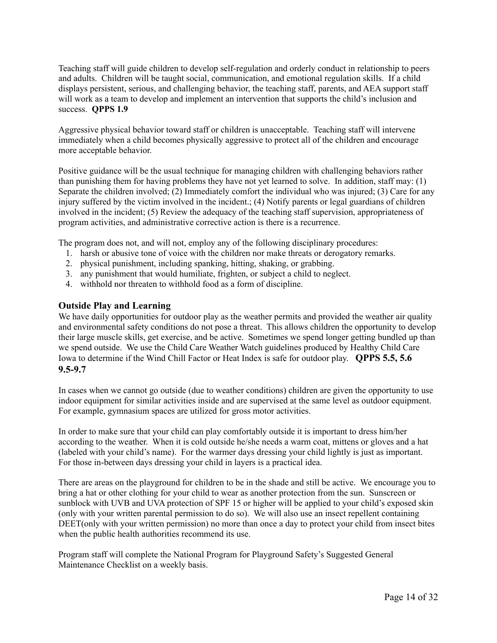Teaching staff will guide children to develop self-regulation and orderly conduct in relationship to peers and adults. Children will be taught social, communication, and emotional regulation skills. If a child displays persistent, serious, and challenging behavior, the teaching staff, parents, and AEA support staff will work as a team to develop and implement an intervention that supports the child's inclusion and success. **QPPS 1.9**

Aggressive physical behavior toward staff or children is unacceptable. Teaching staff will intervene immediately when a child becomes physically aggressive to protect all of the children and encourage more acceptable behavior.

Positive guidance will be the usual technique for managing children with challenging behaviors rather than punishing them for having problems they have not yet learned to solve. In addition, staff may: (1) Separate the children involved; (2) Immediately comfort the individual who was injured; (3) Care for any injury suffered by the victim involved in the incident.; (4) Notify parents or legal guardians of children involved in the incident; (5) Review the adequacy of the teaching staff supervision, appropriateness of program activities, and administrative corrective action is there is a recurrence.

The program does not, and will not, employ any of the following disciplinary procedures:

- 1. harsh or abusive tone of voice with the children nor make threats or derogatory remarks.
- 2. physical punishment, including spanking, hitting, shaking, or grabbing.
- 3. any punishment that would humiliate, frighten, or subject a child to neglect.
- 4. withhold nor threaten to withhold food as a form of discipline.

#### **Outside Play and Learning**

We have daily opportunities for outdoor play as the weather permits and provided the weather air quality and environmental safety conditions do not pose a threat. This allows children the opportunity to develop their large muscle skills, get exercise, and be active. Sometimes we spend longer getting bundled up than we spend outside. We use the Child Care Weather Watch guidelines produced by Healthy Child Care Iowa to determine if the Wind Chill Factor or Heat Index is safe for outdoor play. **QPPS 5.5, 5.6 9.5-9.7**

In cases when we cannot go outside (due to weather conditions) children are given the opportunity to use indoor equipment for similar activities inside and are supervised at the same level as outdoor equipment. For example, gymnasium spaces are utilized for gross motor activities.

In order to make sure that your child can play comfortably outside it is important to dress him/her according to the weather. When it is cold outside he/she needs a warm coat, mittens or gloves and a hat (labeled with your child's name). For the warmer days dressing your child lightly is just as important. For those in-between days dressing your child in layers is a practical idea.

There are areas on the playground for children to be in the shade and still be active. We encourage you to bring a hat or other clothing for your child to wear as another protection from the sun. Sunscreen or sunblock with UVB and UVA protection of SPF 15 or higher will be applied to your child's exposed skin (only with your written parental permission to do so). We will also use an insect repellent containing DEET(only with your written permission) no more than once a day to protect your child from insect bites when the public health authorities recommend its use.

Program staff will complete the National Program for Playground Safety's Suggested General Maintenance Checklist on a weekly basis.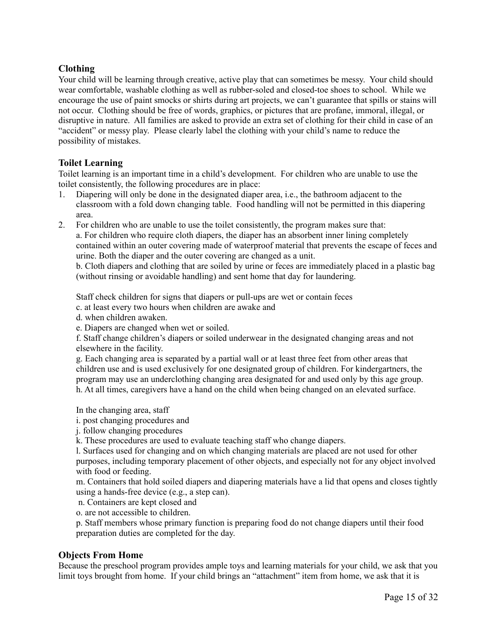# **Clothing**

Your child will be learning through creative, active play that can sometimes be messy. Your child should wear comfortable, washable clothing as well as rubber-soled and closed-toe shoes to school. While we encourage the use of paint smocks or shirts during art projects, we can't guarantee that spills or stains will not occur. Clothing should be free of words, graphics, or pictures that are profane, immoral, illegal, or disruptive in nature. All families are asked to provide an extra set of clothing for their child in case of an "accident" or messy play. Please clearly label the clothing with your child's name to reduce the possibility of mistakes.

# **Toilet Learning**

Toilet learning is an important time in a child's development. For children who are unable to use the toilet consistently, the following procedures are in place:

- 1. Diapering will only be done in the designated diaper area, i.e., the bathroom adjacent to the classroom with a fold down changing table. Food handling will not be permitted in this diapering area.
- 2. For children who are unable to use the toilet consistently, the program makes sure that: a. For children who require cloth diapers, the diaper has an absorbent inner lining completely contained within an outer covering made of waterproof material that prevents the escape of feces and urine. Both the diaper and the outer covering are changed as a unit.

b. Cloth diapers and clothing that are soiled by urine or feces are immediately placed in a plastic bag (without rinsing or avoidable handling) and sent home that day for laundering.

Staff check children for signs that diapers or pull-ups are wet or contain feces

- c. at least every two hours when children are awake and
- d. when children awaken.
- e. Diapers are changed when wet or soiled.

f. Staff change children's diapers or soiled underwear in the designated changing areas and not elsewhere in the facility.

g. Each changing area is separated by a partial wall or at least three feet from other areas that children use and is used exclusively for one designated group of children. For kindergartners, the program may use an underclothing changing area designated for and used only by this age group. h. At all times, caregivers have a hand on the child when being changed on an elevated surface.

In the changing area, staff

- i. post changing procedures and
- j. follow changing procedures
- k. These procedures are used to evaluate teaching staff who change diapers.

l. Surfaces used for changing and on which changing materials are placed are not used for other purposes, including temporary placement of other objects, and especially not for any object involved with food or feeding.

m. Containers that hold soiled diapers and diapering materials have a lid that opens and closes tightly using a hands-free device (e.g., a step can).

n. Containers are kept closed and

o. are not accessible to children.

p. Staff members whose primary function is preparing food do not change diapers until their food preparation duties are completed for the day.

# **Objects From Home**

Because the preschool program provides ample toys and learning materials for your child, we ask that you limit toys brought from home. If your child brings an "attachment" item from home, we ask that it is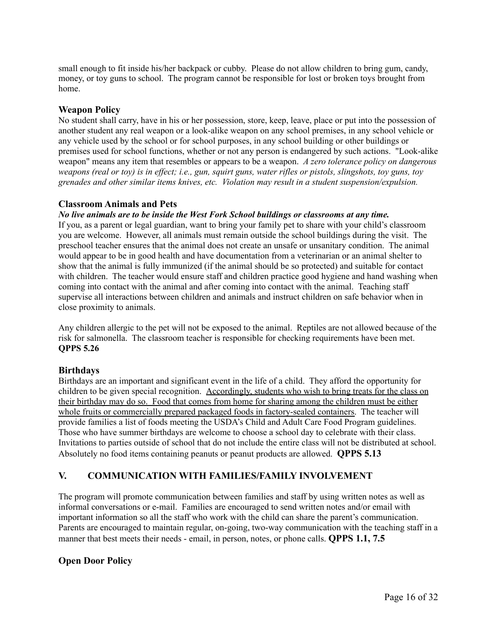small enough to fit inside his/her backpack or cubby. Please do not allow children to bring gum, candy, money, or toy guns to school. The program cannot be responsible for lost or broken toys brought from home.

# **Weapon Policy**

No student shall carry, have in his or her possession, store, keep, leave, place or put into the possession of another student any real weapon or a look-alike weapon on any school premises, in any school vehicle or any vehicle used by the school or for school purposes, in any school building or other buildings or premises used for school functions, whether or not any person is endangered by such actions. "Look-alike weapon" means any item that resembles or appears to be a weapon. *A zero tolerance policy on dangerous* weapons (real or toy) is in effect; i.e., gun, squirt guns, water rifles or pistols, slingshots, toy guns, toy *grenades and other similar items knives, etc. Violation may result in a student suspension/expulsion.*

# **Classroom Animals and Pets**

#### *No live animals are to be inside the West Fork School buildings or classrooms at any time.*

If you, as a parent or legal guardian, want to bring your family pet to share with your child's classroom you are welcome. However, all animals must remain outside the school buildings during the visit. The preschool teacher ensures that the animal does not create an unsafe or unsanitary condition. The animal would appear to be in good health and have documentation from a veterinarian or an animal shelter to show that the animal is fully immunized (if the animal should be so protected) and suitable for contact with children. The teacher would ensure staff and children practice good hygiene and hand washing when coming into contact with the animal and after coming into contact with the animal. Teaching staff supervise all interactions between children and animals and instruct children on safe behavior when in close proximity to animals.

Any children allergic to the pet will not be exposed to the animal. Reptiles are not allowed because of the risk for salmonella. The classroom teacher is responsible for checking requirements have been met. **QPPS 5.26**

# **Birthdays**

Birthdays are an important and significant event in the life of a child. They afford the opportunity for children to be given special recognition. Accordingly, students who wish to bring treats for the class on their birthday may do so. Food that comes from home for sharing among the children must be either whole fruits or commercially prepared packaged foods in factory-sealed containers. The teacher will provide families a list of foods meeting the USDA's Child and Adult Care Food Program guidelines. Those who have summer birthdays are welcome to choose a school day to celebrate with their class. Invitations to parties outside of school that do not include the entire class will not be distributed at school. Absolutely no food items containing peanuts or peanut products are allowed. **QPPS 5.13**

# **V. COMMUNICATION WITH FAMILIES/FAMILY INVOLVEMENT**

The program will promote communication between families and staff by using written notes as well as informal conversations or e-mail. Families are encouraged to send written notes and/or email with important information so all the staff who work with the child can share the parent's communication. Parents are encouraged to maintain regular, on-going, two-way communication with the teaching staff in a manner that best meets their needs - email, in person, notes, or phone calls. **QPPS 1.1, 7.5**

# **Open Door Policy**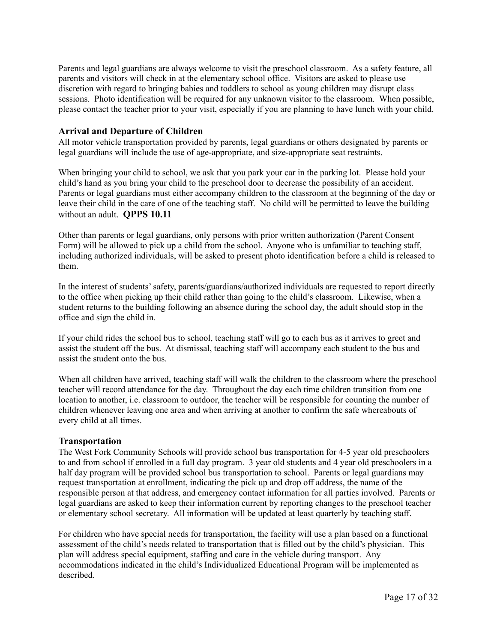Parents and legal guardians are always welcome to visit the preschool classroom. As a safety feature, all parents and visitors will check in at the elementary school office. Visitors are asked to please use discretion with regard to bringing babies and toddlers to school as young children may disrupt class sessions. Photo identification will be required for any unknown visitor to the classroom. When possible, please contact the teacher prior to your visit, especially if you are planning to have lunch with your child.

## **Arrival and Departure of Children**

All motor vehicle transportation provided by parents, legal guardians or others designated by parents or legal guardians will include the use of age-appropriate, and size-appropriate seat restraints.

When bringing your child to school, we ask that you park your car in the parking lot. Please hold your child's hand as you bring your child to the preschool door to decrease the possibility of an accident. Parents or legal guardians must either accompany children to the classroom at the beginning of the day or leave their child in the care of one of the teaching staff. No child will be permitted to leave the building without an adult. **QPPS 10.11**

Other than parents or legal guardians, only persons with prior written authorization (Parent Consent Form) will be allowed to pick up a child from the school. Anyone who is unfamiliar to teaching staff, including authorized individuals, will be asked to present photo identification before a child is released to them.

In the interest of students'safety, parents/guardians/authorized individuals are requested to report directly to the office when picking up their child rather than going to the child's classroom. Likewise, when a student returns to the building following an absence during the school day, the adult should stop in the office and sign the child in.

If your child rides the school bus to school, teaching staff will go to each bus as it arrives to greet and assist the student off the bus. At dismissal, teaching staff will accompany each student to the bus and assist the student onto the bus.

When all children have arrived, teaching staff will walk the children to the classroom where the preschool teacher will record attendance for the day. Throughout the day each time children transition from one location to another, i.e. classroom to outdoor, the teacher will be responsible for counting the number of children whenever leaving one area and when arriving at another to confirm the safe whereabouts of every child at all times.

#### **Transportation**

The West Fork Community Schools will provide school bus transportation for 4-5 year old preschoolers to and from school if enrolled in a full day program. 3 year old students and 4 year old preschoolers in a half day program will be provided school bus transportation to school. Parents or legal guardians may request transportation at enrollment, indicating the pick up and drop off address, the name of the responsible person at that address, and emergency contact information for all parties involved. Parents or legal guardians are asked to keep their information current by reporting changes to the preschool teacher or elementary school secretary. All information will be updated at least quarterly by teaching staff.

For children who have special needs for transportation, the facility will use a plan based on a functional assessment of the child's needs related to transportation that is filled out by the child's physician. This plan will address special equipment, staffing and care in the vehicle during transport. Any accommodations indicated in the child's Individualized Educational Program will be implemented as described.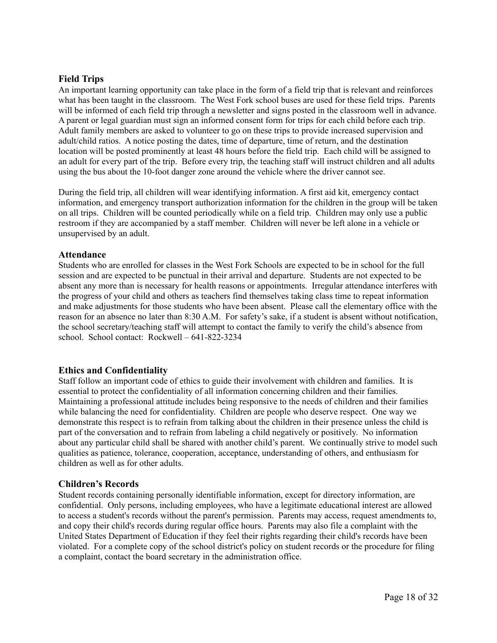# **Field Trips**

An important learning opportunity can take place in the form of a field trip that is relevant and reinforces what has been taught in the classroom. The West Fork school buses are used for these field trips. Parents will be informed of each field trip through a newsletter and signs posted in the classroom well in advance. A parent or legal guardian must sign an informed consent form for trips for each child before each trip. Adult family members are asked to volunteer to go on these trips to provide increased supervision and adult/child ratios. A notice posting the dates, time of departure, time of return, and the destination location will be posted prominently at least 48 hours before the field trip. Each child will be assigned to an adult for every part of the trip. Before every trip, the teaching staff will instruct children and all adults using the bus about the 10-foot danger zone around the vehicle where the driver cannot see.

During the field trip, all children will wear identifying information. A first aid kit, emergency contact information, and emergency transport authorization information for the children in the group will be taken on all trips. Children will be counted periodically while on a field trip. Children may only use a public restroom if they are accompanied by a staff member. Children will never be left alone in a vehicle or unsupervised by an adult.

#### **Attendance**

Students who are enrolled for classes in the West Fork Schools are expected to be in school for the full session and are expected to be punctual in their arrival and departure. Students are not expected to be absent any more than is necessary for health reasons or appointments. Irregular attendance interferes with the progress of your child and others as teachers find themselves taking class time to repeat information and make adjustments for those students who have been absent. Please call the elementary office with the reason for an absence no later than 8:30 A.M. For safety's sake, if a student is absent without notification, the school secretary/teaching staff will attempt to contact the family to verify the child's absence from school. School contact: Rockwell – 641-822-3234

# **Ethics and Confidentiality**

Staff follow an important code of ethics to guide their involvement with children and families. It is essential to protect the confidentiality of all information concerning children and their families. Maintaining a professional attitude includes being responsive to the needs of children and their families while balancing the need for confidentiality. Children are people who deserve respect. One way we demonstrate this respect is to refrain from talking about the children in their presence unless the child is part of the conversation and to refrain from labeling a child negatively or positively. No information about any particular child shall be shared with another child's parent. We continually strive to model such qualities as patience, tolerance, cooperation, acceptance, understanding of others, and enthusiasm for children as well as for other adults.

#### **Children's Records**

Student records containing personally identifiable information, except for directory information, are confidential. Only persons, including employees, who have a legitimate educational interest are allowed to access a student's records without the parent's permission. Parents may access, request amendments to, and copy their child's records during regular office hours. Parents may also file a complaint with the United States Department of Education if they feel their rights regarding their child's records have been violated. For a complete copy of the school district's policy on student records or the procedure for filing a complaint, contact the board secretary in the administration office.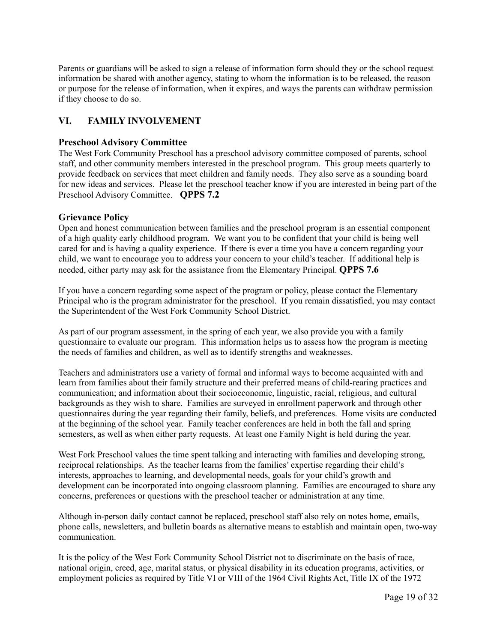Parents or guardians will be asked to sign a release of information form should they or the school request information be shared with another agency, stating to whom the information is to be released, the reason or purpose for the release of information, when it expires, and ways the parents can withdraw permission if they choose to do so.

# **VI. FAMILY INVOLVEMENT**

# **Preschool Advisory Committee**

The West Fork Community Preschool has a preschool advisory committee composed of parents, school staff, and other community members interested in the preschool program. This group meets quarterly to provide feedback on services that meet children and family needs. They also serve as a sounding board for new ideas and services. Please let the preschool teacher know if you are interested in being part of the Preschool Advisory Committee. **QPPS 7.2**

# **Grievance Policy**

Open and honest communication between families and the preschool program is an essential component of a high quality early childhood program. We want you to be confident that your child is being well cared for and is having a quality experience. If there is ever a time you have a concern regarding your child, we want to encourage you to address your concern to your child's teacher. If additional help is needed, either party may ask for the assistance from the Elementary Principal. **QPPS 7.6**

If you have a concern regarding some aspect of the program or policy, please contact the Elementary Principal who is the program administrator for the preschool. If you remain dissatisfied, you may contact the Superintendent of the West Fork Community School District.

As part of our program assessment, in the spring of each year, we also provide you with a family questionnaire to evaluate our program. This information helps us to assess how the program is meeting the needs of families and children, as well as to identify strengths and weaknesses.

Teachers and administrators use a variety of formal and informal ways to become acquainted with and learn from families about their family structure and their preferred means of child-rearing practices and communication; and information about their socioeconomic, linguistic, racial, religious, and cultural backgrounds as they wish to share. Families are surveyed in enrollment paperwork and through other questionnaires during the year regarding their family, beliefs, and preferences. Home visits are conducted at the beginning of the school year. Family teacher conferences are held in both the fall and spring semesters, as well as when either party requests. At least one Family Night is held during the year.

West Fork Preschool values the time spent talking and interacting with families and developing strong, reciprocal relationships. As the teacher learns from the families' expertise regarding their child's interests, approaches to learning, and developmental needs, goals for your child's growth and development can be incorporated into ongoing classroom planning. Families are encouraged to share any concerns, preferences or questions with the preschool teacher or administration at any time.

Although in-person daily contact cannot be replaced, preschool staff also rely on notes home, emails, phone calls, newsletters, and bulletin boards as alternative means to establish and maintain open, two-way communication.

It is the policy of the West Fork Community School District not to discriminate on the basis of race, national origin, creed, age, marital status, or physical disability in its education programs, activities, or employment policies as required by Title VI or VIII of the 1964 Civil Rights Act, Title IX of the 1972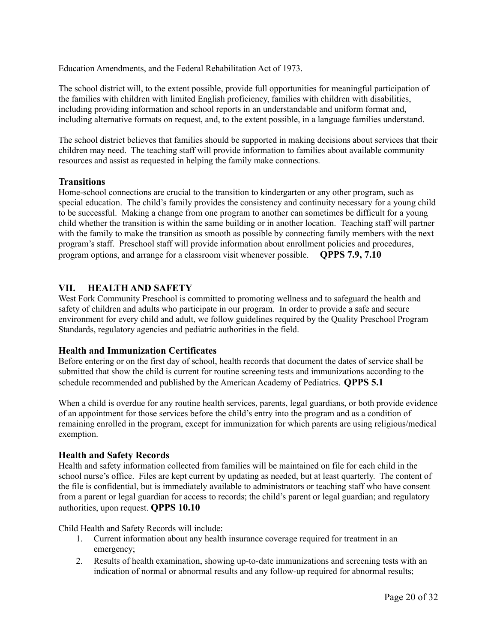Education Amendments, and the Federal Rehabilitation Act of 1973.

The school district will, to the extent possible, provide full opportunities for meaningful participation of the families with children with limited English proficiency, families with children with disabilities, including providing information and school reports in an understandable and uniform format and, including alternative formats on request, and, to the extent possible, in a language families understand.

The school district believes that families should be supported in making decisions about services that their children may need. The teaching staff will provide information to families about available community resources and assist as requested in helping the family make connections.

# **Transitions**

Home-school connections are crucial to the transition to kindergarten or any other program, such as special education. The child's family provides the consistency and continuity necessary for a young child to be successful. Making a change from one program to another can sometimes be difficult for a young child whether the transition is within the same building or in another location. Teaching staff will partner with the family to make the transition as smooth as possible by connecting family members with the next program's staff. Preschool staff will provide information about enrollment policies and procedures, program options, and arrange for a classroom visit whenever possible. **QPPS 7.9, 7.10**

# **VII. HEALTH AND SAFETY**

West Fork Community Preschool is committed to promoting wellness and to safeguard the health and safety of children and adults who participate in our program. In order to provide a safe and secure environment for every child and adult, we follow guidelines required by the Quality Preschool Program Standards, regulatory agencies and pediatric authorities in the field.

#### **Health and Immunization Certificates**

Before entering or on the first day of school, health records that document the dates of service shall be submitted that show the child is current for routine screening tests and immunizations according to the schedule recommended and published by the American Academy of Pediatrics. **QPPS 5.1**

When a child is overdue for any routine health services, parents, legal guardians, or both provide evidence of an appointment for those services before the child's entry into the program and as a condition of remaining enrolled in the program, except for immunization for which parents are using religious/medical exemption.

#### **Health and Safety Records**

Health and safety information collected from families will be maintained on file for each child in the school nurse's office. Files are kept current by updating as needed, but at least quarterly. The content of the file is confidential, but is immediately available to administrators or teaching staff who have consent from a parent or legal guardian for access to records; the child's parent or legal guardian; and regulatory authorities, upon request. **QPPS 10.10**

Child Health and Safety Records will include:

- 1. Current information about any health insurance coverage required for treatment in an emergency;
- 2. Results of health examination, showing up-to-date immunizations and screening tests with an indication of normal or abnormal results and any follow-up required for abnormal results;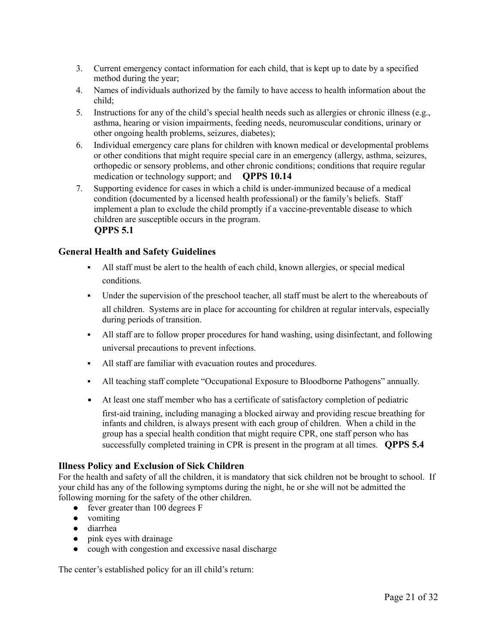- 3. Current emergency contact information for each child, that is kept up to date by a specified method during the year;
- 4. Names of individuals authorized by the family to have access to health information about the child;
- 5. Instructions for any of the child's special health needs such as allergies or chronic illness (e.g., asthma, hearing or vision impairments, feeding needs, neuromuscular conditions, urinary or other ongoing health problems, seizures, diabetes);
- 6. Individual emergency care plans for children with known medical or developmental problems or other conditions that might require special care in an emergency (allergy, asthma, seizures, orthopedic or sensory problems, and other chronic conditions; conditions that require regular medication or technology support; and **QPPS 10.14**
- 7. Supporting evidence for cases in which a child is under-immunized because of a medical condition (documented by a licensed health professional) or the family's beliefs. Staff implement a plan to exclude the child promptly if a vaccine-preventable disease to which children are susceptible occurs in the program. **QPPS 5.1**

# **General Health and Safety Guidelines**

- All staff must be alert to the health of each child, known allergies, or special medical conditions.
- Under the supervision of the preschool teacher, all staff must be alert to the whereabouts of all children. Systems are in place for accounting for children at regular intervals, especially during periods of transition.
- All staff are to follow proper procedures for hand washing, using disinfectant, and following universal precautions to prevent infections.
- All staff are familiar with evacuation routes and procedures.
- All teaching staff complete "Occupational Exposure to Bloodborne Pathogens" annually.
- At least one staff member who has a certificate of satisfactory completion of pediatric first-aid training, including managing a blocked airway and providing rescue breathing for infants and children, is always present with each group of children. When a child in the group has a special health condition that might require CPR, one staff person who has successfully completed training in CPR is present in the program at all times. **QPPS 5.4**

#### **Illness Policy and Exclusion of Sick Children**

For the health and safety of all the children, it is mandatory that sick children not be brought to school. If your child has any of the following symptoms during the night, he or she will not be admitted the following morning for the safety of the other children.

- fever greater than 100 degrees F
- vomiting
- diarrhea
- pink eyes with drainage
- cough with congestion and excessive nasal discharge

The center's established policy for an ill child's return: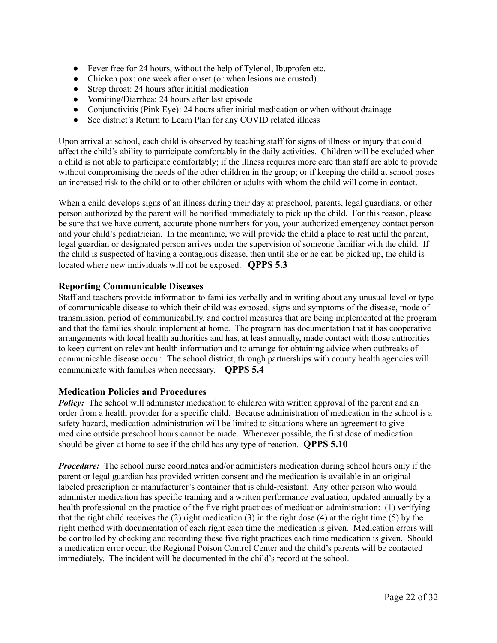- Fever free for 24 hours, without the help of Tylenol, Ibuprofen etc.
- Chicken pox: one week after onset (or when lesions are crusted)
- Strep throat: 24 hours after initial medication
- Vomiting/Diarrhea: 24 hours after last episode
- Conjunctivitis (Pink Eye): 24 hours after initial medication or when without drainage
- See district's Return to Learn Plan for any COVID related illness

Upon arrival at school, each child is observed by teaching staff for signs of illness or injury that could affect the child's ability to participate comfortably in the daily activities. Children will be excluded when a child is not able to participate comfortably; if the illness requires more care than staff are able to provide without compromising the needs of the other children in the group; or if keeping the child at school poses an increased risk to the child or to other children or adults with whom the child will come in contact.

When a child develops signs of an illness during their day at preschool, parents, legal guardians, or other person authorized by the parent will be notified immediately to pick up the child. For this reason, please be sure that we have current, accurate phone numbers for you, your authorized emergency contact person and your child's pediatrician. In the meantime, we will provide the child a place to rest until the parent, legal guardian or designated person arrives under the supervision of someone familiar with the child. If the child is suspected of having a contagious disease, then until she or he can be picked up, the child is located where new individuals will not be exposed. **QPPS 5.3**

# **Reporting Communicable Diseases**

Staff and teachers provide information to families verbally and in writing about any unusual level or type of communicable disease to which their child was exposed, signs and symptoms of the disease, mode of transmission, period of communicability, and control measures that are being implemented at the program and that the families should implement at home. The program has documentation that it has cooperative arrangements with local health authorities and has, at least annually, made contact with those authorities to keep current on relevant health information and to arrange for obtaining advice when outbreaks of communicable disease occur. The school district, through partnerships with county health agencies will communicate with families when necessary. **QPPS 5.4**

#### **Medication Policies and Procedures**

*Policy:* The school will administer medication to children with written approval of the parent and an order from a health provider for a specific child. Because administration of medication in the school is a safety hazard, medication administration will be limited to situations where an agreement to give medicine outside preschool hours cannot be made. Whenever possible, the first dose of medication should be given at home to see if the child has any type of reaction. **QPPS 5.10**

*Procedure:* The school nurse coordinates and/or administers medication during school hours only if the parent or legal guardian has provided written consent and the medication is available in an original labeled prescription or manufacturer's container that is child-resistant. Any other person who would administer medication has specific training and a written performance evaluation, updated annually by a health professional on the practice of the five right practices of medication administration: (1) verifying that the right child receives the (2) right medication (3) in the right dose (4) at the right time (5) by the right method with documentation of each right each time the medication is given. Medication errors will be controlled by checking and recording these five right practices each time medication is given. Should a medication error occur, the Regional Poison Control Center and the child's parents will be contacted immediately. The incident will be documented in the child's record at the school.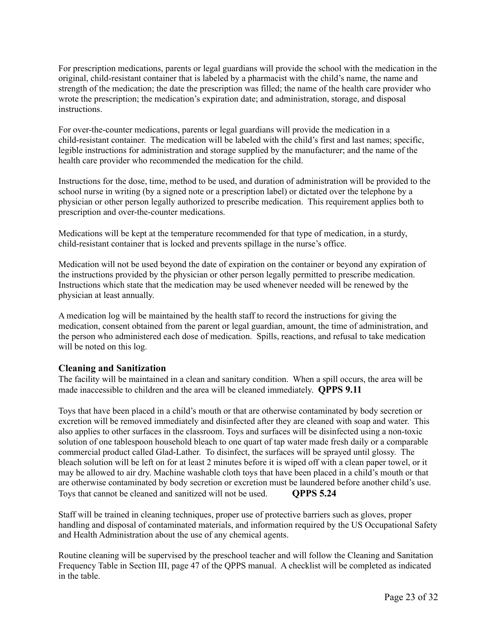For prescription medications, parents or legal guardians will provide the school with the medication in the original, child-resistant container that is labeled by a pharmacist with the child's name, the name and strength of the medication; the date the prescription was filled; the name of the health care provider who wrote the prescription; the medication's expiration date; and administration, storage, and disposal instructions.

For over-the-counter medications, parents or legal guardians will provide the medication in a child-resistant container. The medication will be labeled with the child's first and last names; specific, legible instructions for administration and storage supplied by the manufacturer; and the name of the health care provider who recommended the medication for the child.

Instructions for the dose, time, method to be used, and duration of administration will be provided to the school nurse in writing (by a signed note or a prescription label) or dictated over the telephone by a physician or other person legally authorized to prescribe medication. This requirement applies both to prescription and over-the-counter medications.

Medications will be kept at the temperature recommended for that type of medication, in a sturdy, child-resistant container that is locked and prevents spillage in the nurse's office.

Medication will not be used beyond the date of expiration on the container or beyond any expiration of the instructions provided by the physician or other person legally permitted to prescribe medication. Instructions which state that the medication may be used whenever needed will be renewed by the physician at least annually.

A medication log will be maintained by the health staff to record the instructions for giving the medication, consent obtained from the parent or legal guardian, amount, the time of administration, and the person who administered each dose of medication. Spills, reactions, and refusal to take medication will be noted on this log.

# **Cleaning and Sanitization**

The facility will be maintained in a clean and sanitary condition. When a spill occurs, the area will be made inaccessible to children and the area will be cleaned immediately. **QPPS 9.11**

Toys that have been placed in a child's mouth or that are otherwise contaminated by body secretion or excretion will be removed immediately and disinfected after they are cleaned with soap and water. This also applies to other surfaces in the classroom. Toys and surfaces will be disinfected using a non-toxic solution of one tablespoon household bleach to one quart of tap water made fresh daily or a comparable commercial product called Glad-Lather. To disinfect, the surfaces will be sprayed until glossy. The bleach solution will be left on for at least 2 minutes before it is wiped off with a clean paper towel, or it may be allowed to air dry. Machine washable cloth toys that have been placed in a child's mouth or that are otherwise contaminated by body secretion or excretion must be laundered before another child's use. Toys that cannot be cleaned and sanitized will not be used. **QPPS 5.24**

Staff will be trained in cleaning techniques, proper use of protective barriers such as gloves, proper handling and disposal of contaminated materials, and information required by the US Occupational Safety and Health Administration about the use of any chemical agents.

Routine cleaning will be supervised by the preschool teacher and will follow the Cleaning and Sanitation Frequency Table in Section III, page 47 of the QPPS manual. A checklist will be completed as indicated in the table.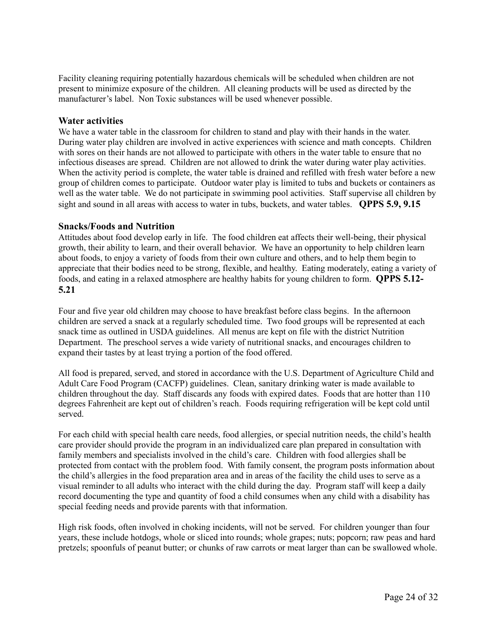Facility cleaning requiring potentially hazardous chemicals will be scheduled when children are not present to minimize exposure of the children. All cleaning products will be used as directed by the manufacturer's label. Non Toxic substances will be used whenever possible.

#### **Water activities**

We have a water table in the classroom for children to stand and play with their hands in the water. During water play children are involved in active experiences with science and math concepts. Children with sores on their hands are not allowed to participate with others in the water table to ensure that no infectious diseases are spread. Children are not allowed to drink the water during water play activities. When the activity period is complete, the water table is drained and refilled with fresh water before a new group of children comes to participate. Outdoor water play is limited to tubs and buckets or containers as well as the water table. We do not participate in swimming pool activities. Staff supervise all children by sight and sound in all areas with access to water in tubs, buckets, and water tables. **QPPS 5.9, 9.15**

#### **Snacks/Foods and Nutrition**

Attitudes about food develop early in life. The food children eat affects their well-being, their physical growth, their ability to learn, and their overall behavior. We have an opportunity to help children learn about foods, to enjoy a variety of foods from their own culture and others, and to help them begin to appreciate that their bodies need to be strong, flexible, and healthy. Eating moderately, eating a variety of foods, and eating in a relaxed atmosphere are healthy habits for young children to form. **QPPS 5.12- 5.21**

Four and five year old children may choose to have breakfast before class begins. In the afternoon children are served a snack at a regularly scheduled time. Two food groups will be represented at each snack time as outlined in USDA guidelines. All menus are kept on file with the district Nutrition Department. The preschool serves a wide variety of nutritional snacks, and encourages children to expand their tastes by at least trying a portion of the food offered.

All food is prepared, served, and stored in accordance with the U.S. Department of Agriculture Child and Adult Care Food Program (CACFP) guidelines. Clean, sanitary drinking water is made available to children throughout the day. Staff discards any foods with expired dates. Foods that are hotter than 110 degrees Fahrenheit are kept out of children's reach. Foods requiring refrigeration will be kept cold until served.

For each child with special health care needs, food allergies, or special nutrition needs, the child's health care provider should provide the program in an individualized care plan prepared in consultation with family members and specialists involved in the child's care. Children with food allergies shall be protected from contact with the problem food. With family consent, the program posts information about the child's allergies in the food preparation area and in areas of the facility the child uses to serve as a visual reminder to all adults who interact with the child during the day. Program staff will keep a daily record documenting the type and quantity of food a child consumes when any child with a disability has special feeding needs and provide parents with that information.

High risk foods, often involved in choking incidents, will not be served. For children younger than four years, these include hotdogs, whole or sliced into rounds; whole grapes; nuts; popcorn; raw peas and hard pretzels; spoonfuls of peanut butter; or chunks of raw carrots or meat larger than can be swallowed whole.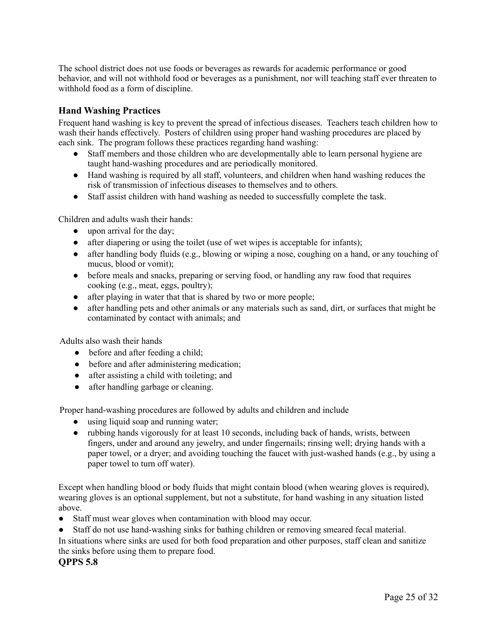The school district does not use foods or beverages as rewards for academic performance or good behavior, and will not withhold food or beverages as a punishment, nor will teaching staff ever threaten to withhold food as a form of discipline.

# **Hand Washing Practices**

Frequent hand washing is key to prevent the spread of infectious diseases. Teachers teach children how to wash their hands effectively. Posters of children using proper hand washing procedures are placed by each sink. The program follows these practices regarding hand washing:

- Staff members and those children who are developmentally able to learn personal hygiene are taught hand-washing procedures and are periodically monitored.
- Hand washing is required by all staff, volunteers, and children when hand washing reduces the risk of transmission of infectious diseases to themselves and to others.
- Staff assist children with hand washing as needed to successfully complete the task.

Children and adults wash their hands:

- upon arrival for the day;
- after diapering or using the toilet (use of wet wipes is acceptable for infants);
- after handling body fluids (e.g., blowing or wiping a nose, coughing on a hand, or any touching of mucus, blood or vomit);
- before meals and snacks, preparing or serving food, or handling any raw food that requires cooking (e.g., meat, eggs, poultry);
- after playing in water that that is shared by two or more people;
- after handling pets and other animals or any materials such as sand, dirt, or surfaces that might be contaminated by contact with animals; and

Adults also wash their hands

- before and after feeding a child;
- before and after administering medication;
- after assisting a child with toileting; and
- after handling garbage or cleaning.

Proper hand-washing procedures are followed by adults and children and include

- using liquid soap and running water;
- rubbing hands vigorously for at least 10 seconds, including back of hands, wrists, between fingers, under and around any jewelry, and under fingernails; rinsing well; drying hands with a paper towel, or a dryer; and avoiding touching the faucet with just-washed hands (e.g., by using a paper towel to turn off water).

Except when handling blood or body fluids that might contain blood (when wearing gloves is required), wearing gloves is an optional supplement, but not a substitute, for hand washing in any situation listed above.

- Staff must wear gloves when contamination with blood may occur.
- Staff do not use hand-washing sinks for bathing children or removing smeared fecal material.

In situations where sinks are used for both food preparation and other purposes, staff clean and sanitize the sinks before using them to prepare food.

**QPPS 5.8**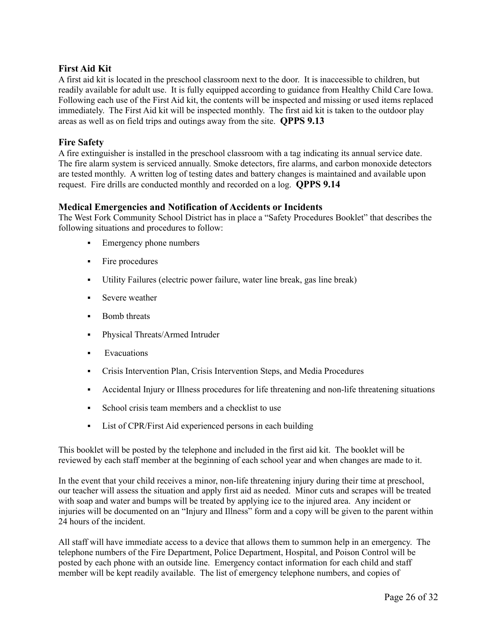# **First Aid Kit**

A first aid kit is located in the preschool classroom next to the door. It is inaccessible to children, but readily available for adult use. It is fully equipped according to guidance from Healthy Child Care Iowa. Following each use of the First Aid kit, the contents will be inspected and missing or used items replaced immediately. The First Aid kit will be inspected monthly. The first aid kit is taken to the outdoor play areas as well as on field trips and outings away from the site. **QPPS 9.13**

# **Fire Safety**

A fire extinguisher is installed in the preschool classroom with a tag indicating its annual service date. The fire alarm system is serviced annually. Smoke detectors, fire alarms, and carbon monoxide detectors are tested monthly. A written log of testing dates and battery changes is maintained and available upon request. Fire drills are conducted monthly and recorded on a log. **QPPS 9.14**

# **Medical Emergencies and Notification of Accidents or Incidents**

The West Fork Community School District has in place a "Safety Procedures Booklet" that describes the following situations and procedures to follow:

- **•** Emergency phone numbers
- Fire procedures
- Utility Failures (electric power failure, water line break, gas line break)
- **EXECUTE:** Severe weather
- Bomb threats
- Physical Threats/Armed Intruder
- **Exacuations**
- Crisis Intervention Plan, Crisis Intervention Steps, and Media Procedures
- Accidental Injury or Illness procedures for life threatening and non-life threatening situations
- School crisis team members and a checklist to use
- List of CPR/First Aid experienced persons in each building

This booklet will be posted by the telephone and included in the first aid kit. The booklet will be reviewed by each staff member at the beginning of each school year and when changes are made to it.

In the event that your child receives a minor, non-life threatening injury during their time at preschool, our teacher will assess the situation and apply first aid as needed. Minor cuts and scrapes will be treated with soap and water and bumps will be treated by applying ice to the injured area. Any incident or injuries will be documented on an "Injury and Illness" form and a copy will be given to the parent within 24 hours of the incident.

All staff will have immediate access to a device that allows them to summon help in an emergency. The telephone numbers of the Fire Department, Police Department, Hospital, and Poison Control will be posted by each phone with an outside line. Emergency contact information for each child and staff member will be kept readily available. The list of emergency telephone numbers, and copies of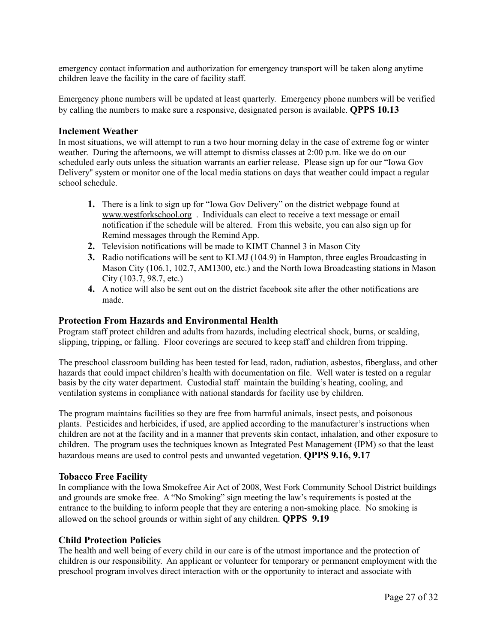emergency contact information and authorization for emergency transport will be taken along anytime children leave the facility in the care of facility staff.

Emergency phone numbers will be updated at least quarterly. Emergency phone numbers will be verified by calling the numbers to make sure a responsive, designated person is available. **QPPS 10.13**

#### **Inclement Weather**

In most situations, we will attempt to run a two hour morning delay in the case of extreme fog or winter weather. During the afternoons, we will attempt to dismiss classes at 2:00 p.m. like we do on our scheduled early outs unless the situation warrants an earlier release. Please sign up for our "Iowa Gov Delivery'' system or monitor one of the local media stations on days that weather could impact a regular school schedule.

- **1.** There is a link to sign up for "Iowa Gov Delivery" on the district webpage found at www.westforkschool.org . Individuals can elect to receive a text message or email notification if the schedule will be altered. From this website, you can also sign up for Remind messages through the Remind App.
- **2.** Television notifications will be made to KIMT Channel 3 in Mason City
- **3.** Radio notifications will be sent to KLMJ (104.9) in Hampton, three eagles Broadcasting in Mason City (106.1, 102.7, AM1300, etc.) and the North Iowa Broadcasting stations in Mason City (103.7, 98.7, etc.)
- **4.** A notice will also be sent out on the district facebook site after the other notifications are made.

#### **Protection From Hazards and Environmental Health**

Program staff protect children and adults from hazards, including electrical shock, burns, or scalding, slipping, tripping, or falling. Floor coverings are secured to keep staff and children from tripping.

The preschool classroom building has been tested for lead, radon, radiation, asbestos, fiberglass, and other hazards that could impact children's health with documentation on file. Well water is tested on a regular basis by the city water department. Custodial staff maintain the building's heating, cooling, and ventilation systems in compliance with national standards for facility use by children.

The program maintains facilities so they are free from harmful animals, insect pests, and poisonous plants. Pesticides and herbicides, if used, are applied according to the manufacturer's instructions when children are not at the facility and in a manner that prevents skin contact, inhalation, and other exposure to children. The program uses the techniques known as Integrated Pest Management (IPM) so that the least hazardous means are used to control pests and unwanted vegetation. **QPPS 9.16, 9.17**

#### **Tobacco Free Facility**

In compliance with the Iowa Smokefree Air Act of 2008, West Fork Community School District buildings and grounds are smoke free. A "No Smoking" sign meeting the law's requirements is posted at the entrance to the building to inform people that they are entering a non-smoking place. No smoking is allowed on the school grounds or within sight of any children. **QPPS 9.19**

#### **Child Protection Policies**

The health and well being of every child in our care is of the utmost importance and the protection of children is our responsibility. An applicant or volunteer for temporary or permanent employment with the preschool program involves direct interaction with or the opportunity to interact and associate with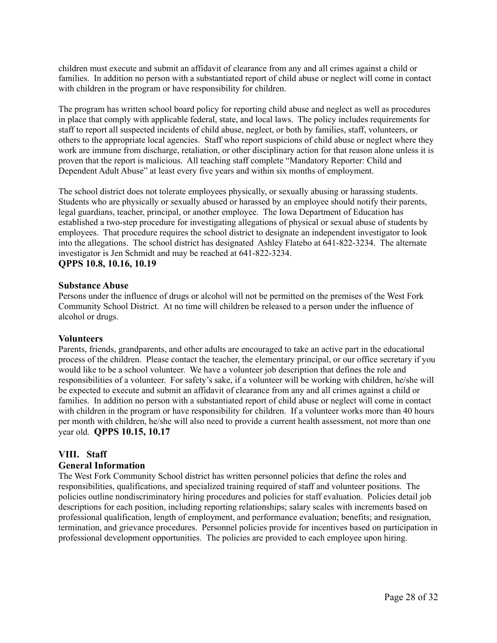children must execute and submit an affidavit of clearance from any and all crimes against a child or families. In addition no person with a substantiated report of child abuse or neglect will come in contact with children in the program or have responsibility for children.

The program has written school board policy for reporting child abuse and neglect as well as procedures in place that comply with applicable federal, state, and local laws. The policy includes requirements for staff to report all suspected incidents of child abuse, neglect, or both by families, staff, volunteers, or others to the appropriate local agencies. Staff who report suspicions of child abuse or neglect where they work are immune from discharge, retaliation, or other disciplinary action for that reason alone unless it is proven that the report is malicious. All teaching staff complete "Mandatory Reporter: Child and Dependent Adult Abuse" at least every five years and within six months of employment.

The school district does not tolerate employees physically, or sexually abusing or harassing students. Students who are physically or sexually abused or harassed by an employee should notify their parents, legal guardians, teacher, principal, or another employee. The Iowa Department of Education has established a two-step procedure for investigating allegations of physical or sexual abuse of students by employees. That procedure requires the school district to designate an independent investigator to look into the allegations. The school district has designated Ashley Flatebo at 641-822-3234. The alternate investigator is Jen Schmidt and may be reached at 641-822-3234.

#### **QPPS 10.8, 10.16, 10.19**

#### **Substance Abuse**

Persons under the influence of drugs or alcohol will not be permitted on the premises of the West Fork Community School District. At no time will children be released to a person under the influence of alcohol or drugs.

#### **Volunteers**

Parents, friends, grandparents, and other adults are encouraged to take an active part in the educational process of the children. Please contact the teacher, the elementary principal, or our office secretary if you would like to be a school volunteer. We have a volunteer job description that defines the role and responsibilities of a volunteer. For safety's sake, if a volunteer will be working with children, he/she will be expected to execute and submit an affidavit of clearance from any and all crimes against a child or families. In addition no person with a substantiated report of child abuse or neglect will come in contact with children in the program or have responsibility for children. If a volunteer works more than 40 hours per month with children, he/she will also need to provide a current health assessment, not more than one year old. **QPPS 10.15, 10.17**

# **VIII. Staff**

#### **General Information**

The West Fork Community School district has written personnel policies that define the roles and responsibilities, qualifications, and specialized training required of staff and volunteer positions. The policies outline nondiscriminatory hiring procedures and policies for staff evaluation. Policies detail job descriptions for each position, including reporting relationships; salary scales with increments based on professional qualification, length of employment, and performance evaluation; benefits; and resignation, termination, and grievance procedures. Personnel policies provide for incentives based on participation in professional development opportunities. The policies are provided to each employee upon hiring.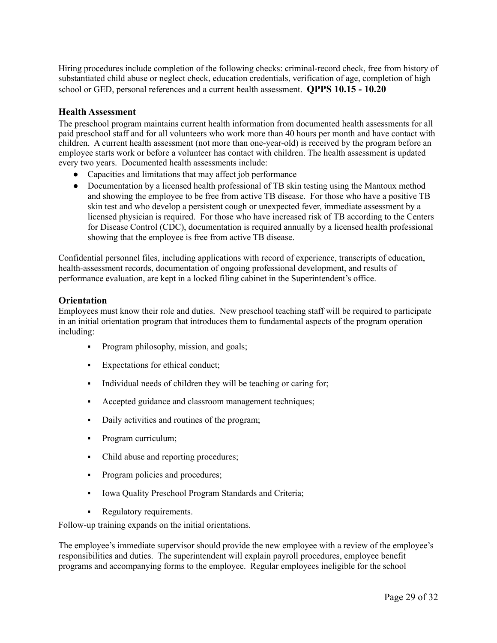Hiring procedures include completion of the following checks: criminal-record check, free from history of substantiated child abuse or neglect check, education credentials, verification of age, completion of high school or GED, personal references and a current health assessment. **QPPS 10.15 - 10.20**

## **Health Assessment**

The preschool program maintains current health information from documented health assessments for all paid preschool staff and for all volunteers who work more than 40 hours per month and have contact with children. A current health assessment (not more than one-year-old) is received by the program before an employee starts work or before a volunteer has contact with children. The health assessment is updated every two years. Documented health assessments include:

- Capacities and limitations that may affect job performance
- Documentation by a licensed health professional of TB skin testing using the Mantoux method and showing the employee to be free from active TB disease. For those who have a positive TB skin test and who develop a persistent cough or unexpected fever, immediate assessment by a licensed physician is required. For those who have increased risk of TB according to the Centers for Disease Control (CDC), documentation is required annually by a licensed health professional showing that the employee is free from active TB disease.

Confidential personnel files, including applications with record of experience, transcripts of education, health-assessment records, documentation of ongoing professional development, and results of performance evaluation, are kept in a locked filing cabinet in the Superintendent's office.

#### **Orientation**

Employees must know their role and duties. New preschool teaching staff will be required to participate in an initial orientation program that introduces them to fundamental aspects of the program operation including:

- Program philosophy, mission, and goals;
- Expectations for ethical conduct;
- Individual needs of children they will be teaching or caring for;
- Accepted guidance and classroom management techniques;
- Daily activities and routines of the program;
- Program curriculum;
- Child abuse and reporting procedures;
- Program policies and procedures;
- Iowa Quality Preschool Program Standards and Criteria;
- Regulatory requirements.

Follow-up training expands on the initial orientations.

The employee's immediate supervisor should provide the new employee with a review of the employee's responsibilities and duties. The superintendent will explain payroll procedures, employee benefit programs and accompanying forms to the employee. Regular employees ineligible for the school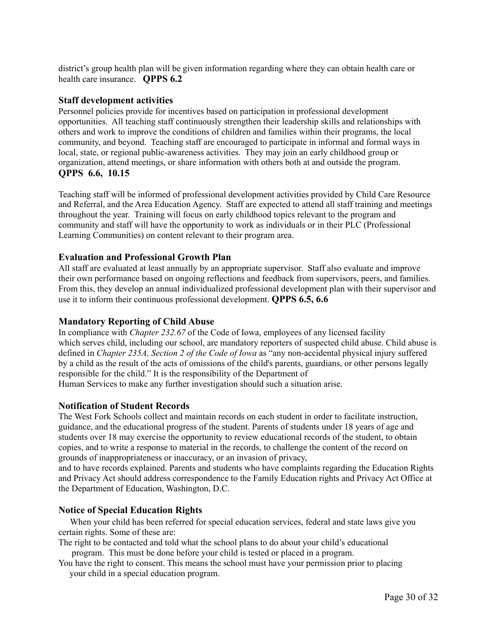district's group health plan will be given information regarding where they can obtain health care or health care insurance. **QPPS 6.2**

#### **Staff development activities**

Personnel policies provide for incentives based on participation in professional development opportunities. All teaching staff continuously strengthen their leadership skills and relationships with others and work to improve the conditions of children and families within their programs, the local community, and beyond. Teaching staff are encouraged to participate in informal and formal ways in local, state, or regional public-awareness activities. They may join an early childhood group or organization, attend meetings, or share information with others both at and outside the program. **QPPS 6.6, 10.15**

Teaching staff will be informed of professional development activities provided by Child Care Resource and Referral, and the Area Education Agency. Staff are expected to attend all staff training and meetings throughout the year. Training will focus on early childhood topics relevant to the program and community and staff will have the opportunity to work as individuals or in their PLC (Professional Learning Communities) on content relevant to their program area.

#### **Evaluation and Professional Growth Plan**

All staff are evaluated at least annually by an appropriate supervisor. Staff also evaluate and improve their own performance based on ongoing reflections and feedback from supervisors, peers, and families. From this, they develop an annual individualized professional development plan with their supervisor and use it to inform their continuous professional development. **QPPS 6.5, 6.6**

#### **Mandatory Reporting of Child Abuse**

In compliance with *Chapter 232.67* of the Code of Iowa, employees of any licensed facility which serves child, including our school, are mandatory reporters of suspected child abuse. Child abuse is defined in *Chapter 235A, Section 2 of the Code of Iowa* as "any non-accidental physical injury suffered by a child as the result of the acts of omissions of the child's parents, guardians, or other persons legally responsible for the child." It is the responsibility of the Department of

Human Services to make any further investigation should such a situation arise.

#### **Notification of Student Records**

The West Fork Schools collect and maintain records on each student in order to facilitate instruction, guidance, and the educational progress of the student. Parents of students under 18 years of age and students over 18 may exercise the opportunity to review educational records of the student, to obtain copies, and to write a response to material in the records, to challenge the content of the record on grounds of inappropriateness or inaccuracy, or an invasion of privacy,

and to have records explained. Parents and students who have complaints regarding the Education Rights and Privacy Act should address correspondence to the Family Education rights and Privacy Act Office at the Department of Education, Washington, D.C.

#### **Notice of Special Education Rights**

When your child has been referred for special education services, federal and state laws give you certain rights. Some of these are:

The right to be contacted and told what the school plans to do about your child's educational program. This must be done before your child is tested or placed in a program.

You have the right to consent. This means the school must have your permission prior to placing

your child in a special education program.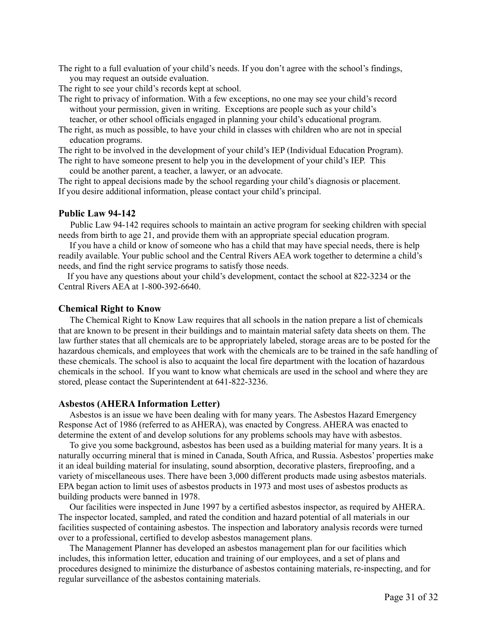The right to a full evaluation of your child's needs. If you don't agree with the school's findings, you may request an outside evaluation.

The right to see your child's records kept at school.

The right to privacy of information. With a few exceptions, no one may see your child's record without your permission, given in writing. Exceptions are people such as your child's teacher, or other school officials engaged in planning your child's educational program.

The right, as much as possible, to have your child in classes with children who are not in special education programs.

The right to be involved in the development of your child's IEP (Individual Education Program).

The right to have someone present to help you in the development of your child's IEP. This could be another parent, a teacher, a lawyer, or an advocate.

The right to appeal decisions made by the school regarding your child's diagnosis or placement. If you desire additional information, please contact your child's principal.

#### **Public Law 94-142**

Public Law 94-142 requires schools to maintain an active program for seeking children with special needs from birth to age 21, and provide them with an appropriate special education program.

If you have a child or know of someone who has a child that may have special needs, there is help readily available. Your public school and the Central Rivers AEA work together to determine a child's needs, and find the right service programs to satisfy those needs.

If you have any questions about your child's development, contact the school at 822-3234 or the Central Rivers AEA at 1-800-392-6640.

#### **Chemical Right to Know**

The Chemical Right to Know Law requires that all schools in the nation prepare a list of chemicals that are known to be present in their buildings and to maintain material safety data sheets on them. The law further states that all chemicals are to be appropriately labeled, storage areas are to be posted for the hazardous chemicals, and employees that work with the chemicals are to be trained in the safe handling of these chemicals. The school is also to acquaint the local fire department with the location of hazardous chemicals in the school. If you want to know what chemicals are used in the school and where they are stored, please contact the Superintendent at 641-822-3236.

#### **Asbestos (AHERA Information Letter)**

Asbestos is an issue we have been dealing with for many years. The Asbestos Hazard Emergency Response Act of 1986 (referred to as AHERA), was enacted by Congress. AHERA was enacted to determine the extent of and develop solutions for any problems schools may have with asbestos.

To give you some background, asbestos has been used as a building material for many years. It is a naturally occurring mineral that is mined in Canada, South Africa, and Russia. Asbestos' properties make it an ideal building material for insulating, sound absorption, decorative plasters, fireproofing, and a variety of miscellaneous uses. There have been 3,000 different products made using asbestos materials. EPA began action to limit uses of asbestos products in 1973 and most uses of asbestos products as building products were banned in 1978.

Our facilities were inspected in June 1997 by a certified asbestos inspector, as required by AHERA. The inspector located, sampled, and rated the condition and hazard potential of all materials in our facilities suspected of containing asbestos. The inspection and laboratory analysis records were turned over to a professional, certified to develop asbestos management plans.

The Management Planner has developed an asbestos management plan for our facilities which includes, this information letter, education and training of our employees, and a set of plans and procedures designed to minimize the disturbance of asbestos containing materials, re-inspecting, and for regular surveillance of the asbestos containing materials.